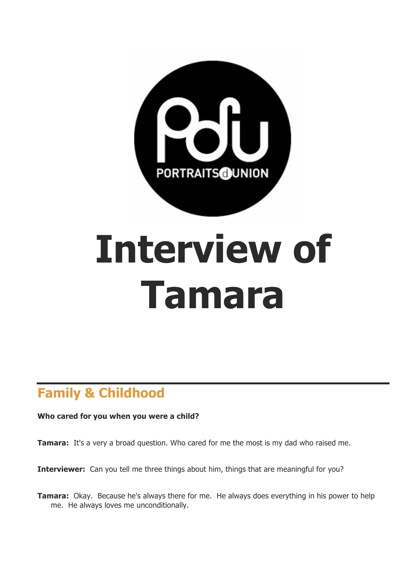

# **Interview of Tamara**

# **Family & Childhood**

#### **Who cared for you when you were a child?**

**Tamara:** It's a very a broad question. Who cared for me the most is my dad who raised me.

**Interviewer:** Can you tell me three things about him, things that are meaningful for you?

**Tamara:** Okay. Because he's always there for me. He always does everything in his power to help me. He always loves me unconditionally.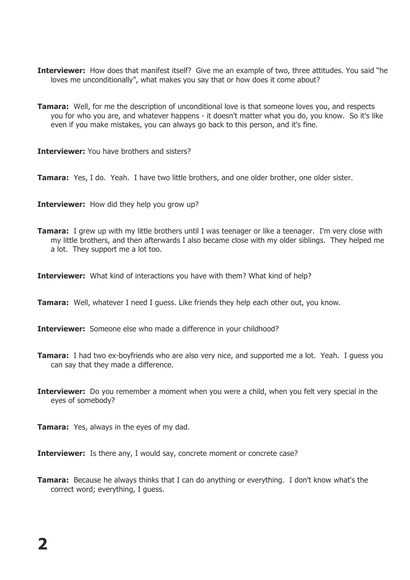- **Interviewer:** How does that manifest itself? Give me an example of two, three attitudes. You said "he loves me unconditionally", what makes you say that or how does it come about?
- **Tamara:** Well, for me the description of unconditional love is that someone loves you, and respects you for who you are, and whatever happens - it doesn't matter what you do, you know. So it's like even if you make mistakes, you can always go back to this person, and it's fine.

**Interviewer:** You have brothers and sisters?

**Tamara:** Yes, I do. Yeah. I have two little brothers, and one older brother, one older sister.

**Interviewer:** How did they help you grow up?

**Tamara:** I grew up with my little brothers until I was teenager or like a teenager. I'm very close with my little brothers, and then afterwards I also became close with my older siblings. They helped me a lot. They support me a lot too.

**Interviewer:** What kind of interactions you have with them? What kind of help?

**Tamara:** Well, whatever I need I guess. Like friends they help each other out, you know.

**Interviewer:** Someone else who made a difference in your childhood?

- **Tamara:** I had two ex-boyfriends who are also very nice, and supported me a lot. Yeah. I guess you can say that they made a difference.
- **Interviewer:** Do you remember a moment when you were a child, when you felt very special in the eyes of somebody?

**Tamara:** Yes, always in the eyes of my dad.

**Interviewer:** Is there any, I would say, concrete moment or concrete case?

**Tamara:** Because he always thinks that I can do anything or everything. I don't know what's the correct word; everything, I guess.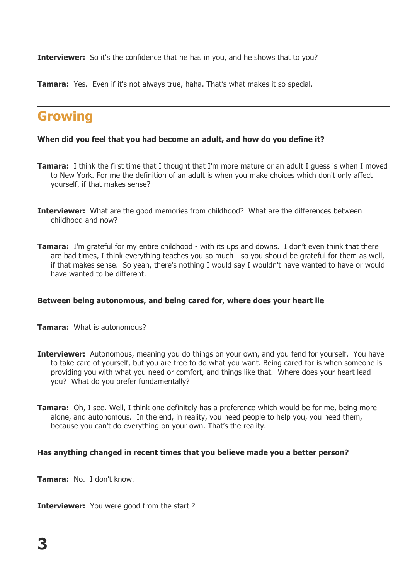**Interviewer:** So it's the confidence that he has in you, and he shows that to you?

**Tamara:** Yes. Even if it's not always true, haha. That's what makes it so special.

# **Growing**

#### **When did you feel that you had become an adult, and how do you define it?**

- **Tamara:** I think the first time that I thought that I'm more mature or an adult I guess is when I moved to New York. For me the definition of an adult is when you make choices which don't only affect yourself, if that makes sense?
- **Interviewer:** What are the good memories from childhood? What are the differences between childhood and now?
- **Tamara:** I'm grateful for my entire childhood with its ups and downs. I don't even think that there are bad times, I think everything teaches you so much - so you should be grateful for them as well, if that makes sense. So yeah, there's nothing I would say I wouldn't have wanted to have or would have wanted to be different.

#### **Between being autonomous, and being cared for, where does your heart lie**

- **Tamara:** What is autonomous?
- **Interviewer:** Autonomous, meaning you do things on your own, and you fend for yourself. You have to take care of yourself, but you are free to do what you want. Being cared for is when someone is providing you with what you need or comfort, and things like that. Where does your heart lead you? What do you prefer fundamentally?
- **Tamara:** Oh, I see. Well, I think one definitely has a preference which would be for me, being more alone, and autonomous. In the end, in reality, you need people to help you, you need them, because you can't do everything on your own. That's the reality.

#### **Has anything changed in recent times that you believe made you a better person?**

**Tamara:** No. I don't know.

**Interviewer:** You were good from the start?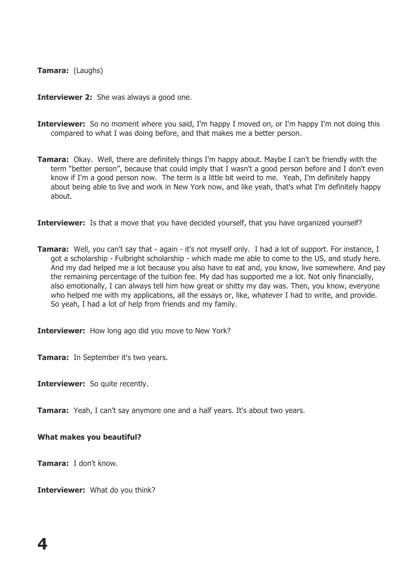#### **Tamara:** (Laughs)

**Interviewer 2:** She was always a good one.

- **Interviewer:** So no moment where you said, I'm happy I moved on, or I'm happy I'm not doing this compared to what I was doing before, and that makes me a better person.
- **Tamara:** Okay. Well, there are definitely things I'm happy about. Maybe I can't be friendly with the term "better person", because that could imply that I wasn't a good person before and I don't even know if I'm a good person now. The term is a little bit weird to me. Yeah, I'm definitely happy about being able to live and work in New York now, and like yeah, that's what I'm definitely happy about.

**Interviewer:** Is that a move that you have decided yourself, that you have organized yourself?

**Tamara:** Well, you can't say that - again - it's not myself only. I had a lot of support. For instance, I got a scholarship - Fulbright scholarship - which made me able to come to the US, and study here. And my dad helped me a lot because you also have to eat and, you know, live somewhere. And pay the remaining percentage of the tuition fee. My dad has supported me a lot. Not only financially, also emotionally, I can always tell him how great or shitty my day was. Then, you know, everyone who helped me with my applications, all the essays or, like, whatever I had to write, and provide. So yeah, I had a lot of help from friends and my family.

**Interviewer:** How long ago did you move to New York?

**Tamara:** In September it's two years.

**Interviewer:** So quite recently.

**Tamara:** Yeah, I can't say anymore one and a half years. It's about two years.

**What makes you beautiful?**

**Tamara:** I don't know.

**Interviewer:** What do you think?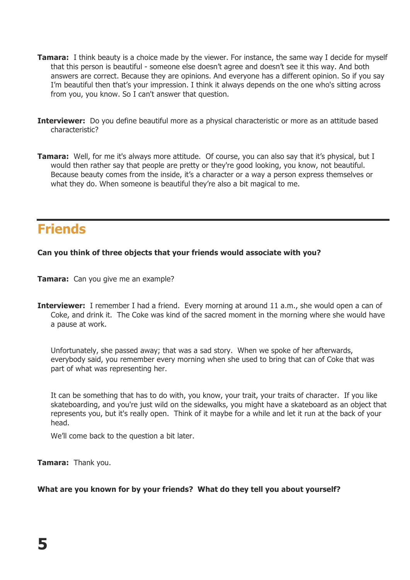- **Tamara:** I think beauty is a choice made by the viewer. For instance, the same way I decide for myself that this person is beautiful - someone else doesn't agree and doesn't see it this way. And both answers are correct. Because they are opinions. And everyone has a different opinion. So if you say I'm beautiful then that's your impression. I think it always depends on the one who's sitting across from you, you know. So I can't answer that question.
- **Interviewer:** Do you define beautiful more as a physical characteristic or more as an attitude based characteristic?
- **Tamara:** Well, for me it's always more attitude. Of course, you can also say that it's physical, but I would then rather say that people are pretty or they're good looking, you know, not beautiful. Because beauty comes from the inside, it's a character or a way a person express themselves or what they do. When someone is beautiful they're also a bit magical to me.

## **Friends**

#### **Can you think of three objects that your friends would associate with you?**

- **Tamara:** Can you give me an example?
- **Interviewer:** I remember I had a friend. Every morning at around 11 a.m., she would open a can of Coke, and drink it. The Coke was kind of the sacred moment in the morning where she would have a pause at work.

Unfortunately, she passed away; that was a sad story. When we spoke of her afterwards, everybody said, you remember every morning when she used to bring that can of Coke that was part of what was representing her.

It can be something that has to do with, you know, your trait, your traits of character. If you like skateboarding, and you're just wild on the sidewalks, you might have a skateboard as an object that represents you, but it's really open. Think of it maybe for a while and let it run at the back of your head.

We'll come back to the question a bit later.

**Tamara:** Thank you.

#### **What are you known for by your friends? What do they tell you about yourself?**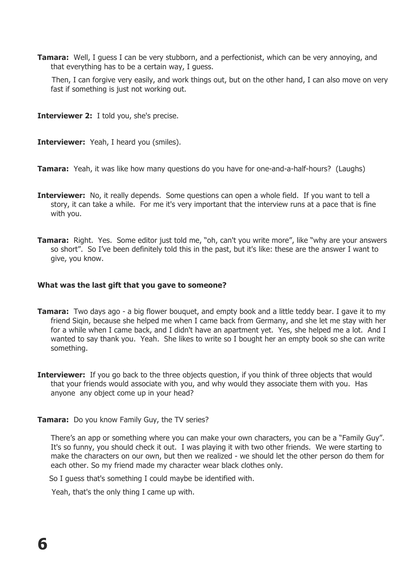**Tamara:** Well, I guess I can be very stubborn, and a perfectionist, which can be very annoying, and that everything has to be a certain way, I guess.

 Then, I can forgive very easily, and work things out, but on the other hand, I can also move on very fast if something is just not working out.

**Interviewer 2:** I told you, she's precise.

**Interviewer:** Yeah, I heard you (smiles).

**Tamara:** Yeah, it was like how many questions do you have for one-and-a-half-hours? (Laughs)

- **Interviewer:** No, it really depends. Some questions can open a whole field. If you want to tell a story, it can take a while. For me it's very important that the interview runs at a pace that is fine with you.
- **Tamara:** Right. Yes. Some editor just told me, "oh, can't you write more", like "why are your answers so short". So I've been definitely told this in the past, but it's like: these are the answer I want to give, you know.

#### **What was the last gift that you gave to someone?**

- **Tamara:** Two days ago a big flower bouquet, and empty book and a little teddy bear. I gave it to my friend Siqin, because she helped me when I came back from Germany, and she let me stay with her for a while when I came back, and I didn't have an apartment yet. Yes, she helped me a lot. And I wanted to say thank you. Yeah. She likes to write so I bought her an empty book so she can write something.
- **Interviewer:** If you go back to the three objects question, if you think of three objects that would that your friends would associate with you, and why would they associate them with you. Has anyone any object come up in your head?
- **Tamara:** Do you know Family Guy, the TV series?

There's an app or something where you can make your own characters, you can be a "Family Guy". It's so funny, you should check it out. I was playing it with two other friends. We were starting to make the characters on our own, but then we realized - we should let the other person do them for each other. So my friend made my character wear black clothes only.

So I guess that's something I could maybe be identified with.

Yeah, that's the only thing I came up with.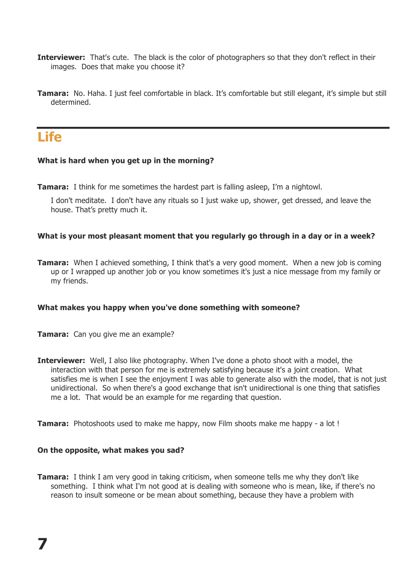- **Interviewer:** That's cute. The black is the color of photographers so that they don't reflect in their images. Does that make you choose it?
- **Tamara:** No. Haha. I just feel comfortable in black. It's comfortable but still elegant, it's simple but still determined.

### **Life**

#### **What is hard when you get up in the morning?**

**Tamara:** I think for me sometimes the hardest part is falling asleep, I'm a nightowl.

I don't meditate. I don't have any rituals so I just wake up, shower, get dressed, and leave the house. That's pretty much it.

#### **What is your most pleasant moment that you regularly go through in a day or in a week?**

**Tamara:** When I achieved something, I think that's a very good moment. When a new job is coming up or I wrapped up another job or you know sometimes it's just a nice message from my family or my friends.

#### **What makes you happy when you've done something with someone?**

- **Tamara:** Can you give me an example?
- **Interviewer:** Well, I also like photography. When I've done a photo shoot with a model, the interaction with that person for me is extremely satisfying because it's a joint creation. What satisfies me is when I see the enjoyment I was able to generate also with the model, that is not just unidirectional. So when there's a good exchange that isn't unidirectional is one thing that satisfies me a lot. That would be an example for me regarding that question.

**Tamara:** Photoshoots used to make me happy, now Film shoots make me happy - a lot !

#### **On the opposite, what makes you sad?**

**Tamara:** I think I am very good in taking criticism, when someone tells me why they don't like something. I think what I'm not good at is dealing with someone who is mean, like, if there's no reason to insult someone or be mean about something, because they have a problem with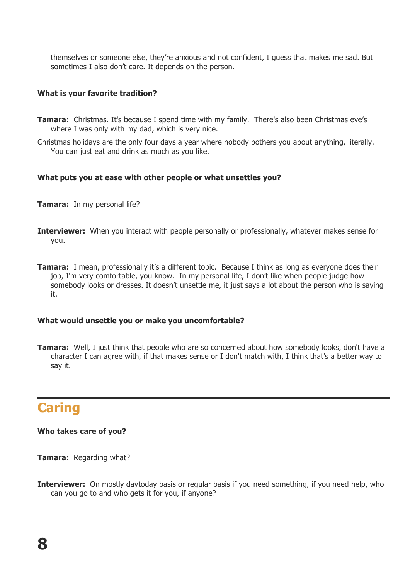themselves or someone else, they're anxious and not confident, I guess that makes me sad. But sometimes I also don't care. It depends on the person.

#### **What is your favorite tradition?**

- **Tamara:** Christmas. It's because I spend time with my family. There's also been Christmas eve's where I was only with my dad, which is very nice.
- Christmas holidays are the only four days a year where nobody bothers you about anything, literally. You can just eat and drink as much as you like.

#### **What puts you at ease with other people or what unsettles you?**

- **Tamara:** In my personal life?
- **Interviewer:** When you interact with people personally or professionally, whatever makes sense for you.
- **Tamara:** I mean, professionally it's a different topic. Because I think as long as everyone does their job, I'm very comfortable, you know. In my personal life, I don't like when people judge how somebody looks or dresses. It doesn't unsettle me, it just says a lot about the person who is saying it.

#### **What would unsettle you or make you uncomfortable?**

**Tamara:** Well, I just think that people who are so concerned about how somebody looks, don't have a character I can agree with, if that makes sense or I don't match with, I think that's a better way to say it.

# **Caring**

#### **Who takes care of you?**

**Tamara:** Regarding what?

**Interviewer:** On mostly daytoday basis or regular basis if you need something, if you need help, who can you go to and who gets it for you, if anyone?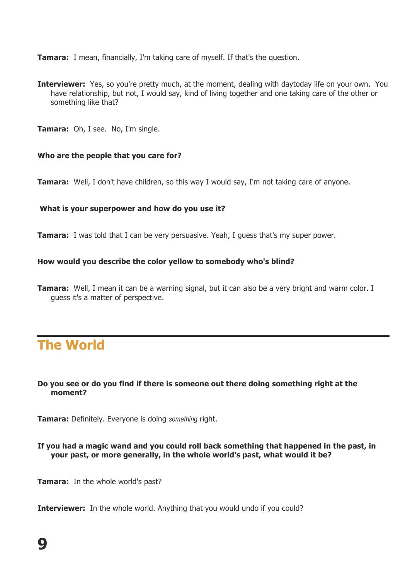**Tamara:** I mean, financially, I'm taking care of myself. If that's the question.

- **Interviewer:** Yes, so you're pretty much, at the moment, dealing with daytoday life on your own. You have relationship, but not, I would say, kind of living together and one taking care of the other or something like that?
- **Tamara:** Oh, I see. No, I'm single.

#### **Who are the people that you care for?**

**Tamara:** Well, I don't have children, so this way I would say, I'm not taking care of anyone.

#### **What is your superpower and how do you use it?**

**Tamara:** I was told that I can be very persuasive. Yeah, I quess that's my super power.

#### **How would you describe the color yellow to somebody who's blind?**

**Tamara:** Well, I mean it can be a warning signal, but it can also be a very bright and warm color. I guess it's a matter of perspective.

## **The World**

#### **Do you see or do you find if there is someone out there doing something right at the moment?**

**Tamara:** Definitely. Everyone is doing *something* right.

**If you had a magic wand and you could roll back something that happened in the past, in your past, or more generally, in the whole world's past, what would it be?**

**Tamara:** In the whole world's past?

**Interviewer:** In the whole world. Anything that you would undo if you could?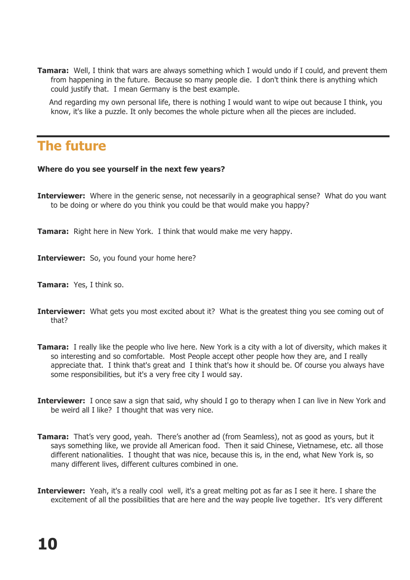**Tamara:** Well, I think that wars are always something which I would undo if I could, and prevent them from happening in the future. Because so many people die. I don't think there is anything which could justify that. I mean Germany is the best example.

 And regarding my own personal life, there is nothing I would want to wipe out because I think, you know, it's like a puzzle. It only becomes the whole picture when all the pieces are included.

## **The future**

#### **Where do you see yourself in the next few years?**

- **Interviewer:** Where in the generic sense, not necessarily in a geographical sense? What do you want to be doing or where do you think you could be that would make you happy?
- **Tamara:** Right here in New York. I think that would make me very happy.

**Interviewer:** So, you found your home here?

- **Tamara:** Yes, I think so.
- **Interviewer:** What gets you most excited about it? What is the greatest thing you see coming out of that?
- **Tamara:** I really like the people who live here. New York is a city with a lot of diversity, which makes it so interesting and so comfortable. Most People accept other people how they are, and I really appreciate that. I think that's great and I think that's how it should be. Of course you always have some responsibilities, but it's a very free city I would say.
- **Interviewer:** I once saw a sign that said, why should I go to therapy when I can live in New York and be weird all I like? I thought that was very nice.
- **Tamara:** That's very good, yeah. There's another ad (from Seamless), not as good as yours, but it says something like, we provide all American food. Then it said Chinese, Vietnamese, etc. all those different nationalities. I thought that was nice, because this is, in the end, what New York is, so many different lives, different cultures combined in one.
- **Interviewer:** Yeah, it's a really cool well, it's a great melting pot as far as I see it here. I share the excitement of all the possibilities that are here and the way people live together. It's very different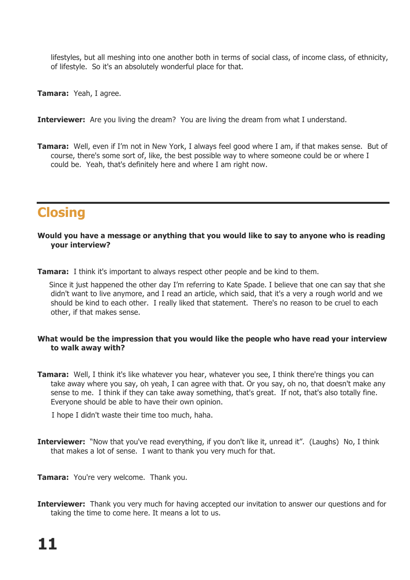lifestyles, but all meshing into one another both in terms of social class, of income class, of ethnicity, of lifestyle. So it's an absolutely wonderful place for that.

**Tamara:** Yeah, I agree.

**Interviewer:** Are you living the dream? You are living the dream from what I understand.

**Tamara:** Well, even if I'm not in New York, I always feel good where I am, if that makes sense. But of course, there's some sort of, like, the best possible way to where someone could be or where I could be. Yeah, that's definitely here and where I am right now.

## **Closing**

#### **Would you have a message or anything that you would like to say to anyone who is reading your interview?**

**Tamara:** I think it's important to always respect other people and be kind to them.

 Since it just happened the other day I'm referring to Kate Spade. I believe that one can say that she didn't want to live anymore, and I read an article, which said, that it's a very a rough world and we should be kind to each other. I really liked that statement. There's no reason to be cruel to each other, if that makes sense.

#### **What would be the impression that you would like the people who have read your interview to walk away with?**

**Tamara:** Well, I think it's like whatever you hear, whatever you see, I think there're things you can take away where you say, oh yeah, I can agree with that. Or you say, oh no, that doesn't make any sense to me. I think if they can take away something, that's great. If not, that's also totally fine. Everyone should be able to have their own opinion.

I hope I didn't waste their time too much, haha.

- **Interviewer:** "Now that you've read everything, if you don't like it, unread it". (Laughs) No, I think that makes a lot of sense. I want to thank you very much for that.
- **Tamara:** You're very welcome. Thank you.
- **Interviewer:** Thank you very much for having accepted our invitation to answer our questions and for taking the time to come here. It means a lot to us.